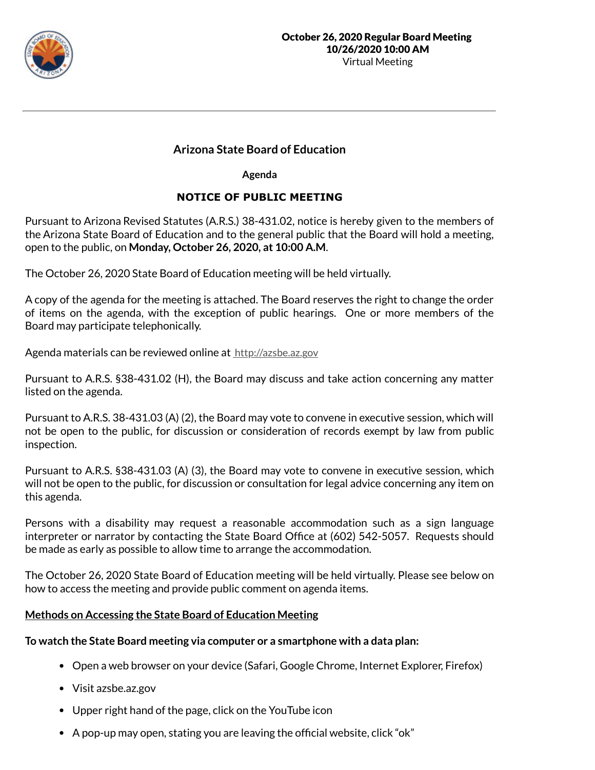

# **Arizona State Board of Education**

**Agenda**

# **NOTICE OF PUBLIC MEETING**

Pursuant to Arizona Revised Statutes (A.R.S.) 38-431.02, notice is hereby given to the members of the Arizona State Board of Education and to the general public that the Board will hold a meeting, open to the public, on **Monday, October 26, 2020, at 10:00 A.M**.

The October 26, 2020 State Board of Education meeting will be held virtually.

A copy of the agenda for the meeting is attached. The Board reserves the right to change the order of items on the agenda, with the exception of public hearings. One or more members of the Board may participate telephonically.

Agenda materials can be reviewed online at http://azsbe.az.gov

Pursuant to A.R.S. §38-431.02 (H), the Board may discuss and take action concerning any matter listed on the agenda.

Pursuant to A.R.S. 38-431.03 (A) (2), the Board may vote to convene in executive session, which will not be open to the public, for discussion or consideration of records exempt by law from public inspection.

Pursuant to A.R.S. §38-431.03 (A) (3), the Board may vote to convene in executive session, which will not be open to the public, for discussion or consultation for legal advice concerning any item on this agenda.

Persons with a disability may request a reasonable accommodation such as a sign language interpreter or narrator by contacting the State Board Office at (602) 542-5057. Requests should be made as early as possible to allow time to arrange the accommodation.

The October 26, 2020 State Board of Education meeting will be held virtually. Please see below on how to access the meeting and provide public comment on agenda items.

## **Methods on Accessing the State Board of Education Meeting**

# **To watch the State Board meeting via computer or a smartphone with a data plan:**

- Open a web browser on your device (Safari, Google Chrome, Internet Explorer, Firefox)
- Visit azsbe.az.gov
- Upper right hand of the page, click on the YouTube icon
- A pop-up may open, stating you are leaving the official website, click "ok"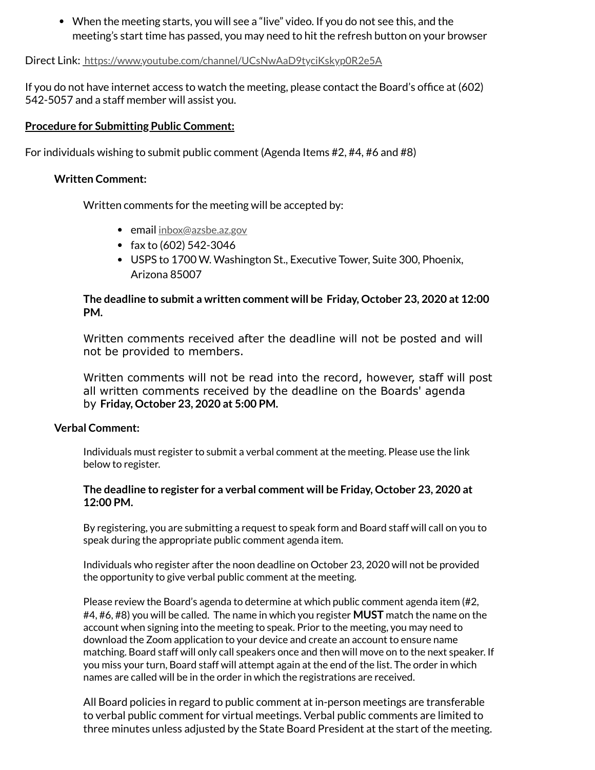When the meeting starts, you will see a "live" video. If you do not see this, and the meeting's start time has passed, you may need to hit the refresh button on your browser

Direct Link: https://www.youtube.com/channel/UCsNwAaD9tyciKskyp0R2e5A

If you do not have internet access to watch the meeting, please contact the Board's office at (602) 542-5057 and a staff member will assist you.

## **Procedure for Submitting Public Comment:**

For individuals wishing to submit public comment (Agenda Items #2, #4, #6 and #8)

#### **Written Comment:**

Written comments for the meeting will be accepted by:

- email inbox@azsbe.az.gov
- fax to  $(602)$  542-3046
- USPS to 1700 W. Washington St., Executive Tower, Suite 300, Phoenix, Arizona 85007

## **The deadline to submit a written comment will be Friday, October 23, 2020 at 12:00 PM.**

Written comments received after the deadline will not be posted and will not be provided to members.

Written comments will not be read into the record, however, staff will post all written comments received by the deadline on the Boards' agenda by **Friday, October 23, 2020 at 5:00 PM.**

#### **Verbal Comment:**

Individuals must register to submit a verbal comment at the meeting. Please use the link below to register.

#### **The deadline to register for a verbal comment will be Friday, October 23, 2020 at 12:00 PM.**

By registering, you are submitting a request to speak form and Board staff will call on you to speak during the appropriate public comment agenda item.

Individuals who register after the noon deadline on October 23, 2020 will not be provided the opportunity to give verbal public comment at the meeting.

Please review the Board's agenda to determine at which public comment agenda item (#2, #4, #6, #8) you will be called. The name in which you register **MUST** match the name on the account when signing into the meeting to speak. Prior to the meeting, you may need to download the Zoom application to your device and create an account to ensure name matching. Board staff will only call speakers once and then will move on to the next speaker. If you miss your turn, Board staff will attempt again at the end of the list. The order in which names are called will be in the order in which the registrations are received.

All Board policies in regard to public comment at in-person meetings are transferable to verbal public comment for virtual meetings. Verbal public comments are limited to three minutes unless adjusted by the State Board President at the start of the meeting.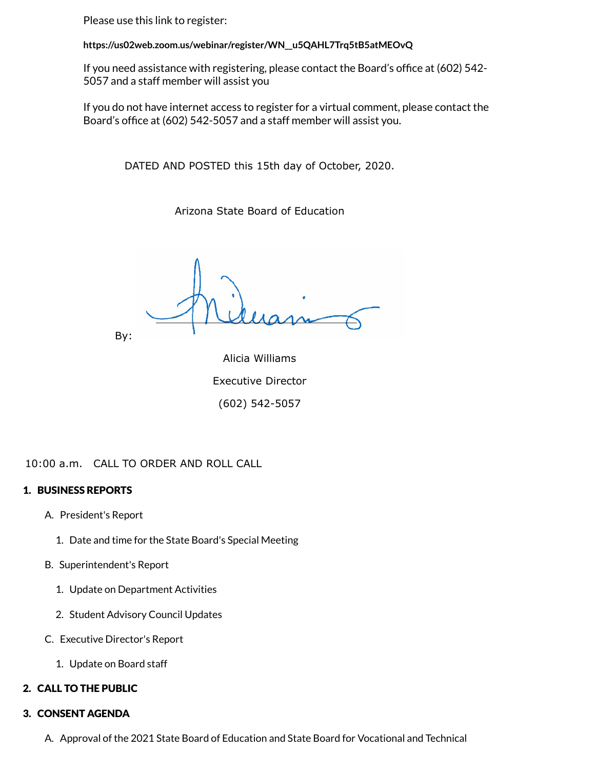Please use this link to register:

**https://us02web.zoom.us/webinar/register/WN\_\_u5QAHL7Trq5tB5atMEOvQ**

If you need assistance with registering, please contact the Board's office at (602) 542-5057 and a staff member will assist you

If you do not have internet access to register for a virtual comment, please contact the Board's office at (602) 542-5057 and a staff member will assist you.

DATED AND POSTED this 15th day of October, 2020.

Arizona State Board of Education

By:

Alicia Williams Executive Director (602) 542-5057

10:00 a.m. CALL TO ORDER AND ROLL CALL

## 1. BUSINESS REPORTS

- A. President's Report
	- 1. Date and time for the State Board's Special Meeting
- B. Superintendent's Report
	- 1. Update on Department Activities
	- 2. Student Advisory Council Updates
- C. Executive Director's Report
	- 1. Update on Board staff

## 2. CALL TO THE PUBLIC

## 3. CONSENT AGENDA

A. Approval of the 2021 State Board of Education and State Board for Vocational and Technical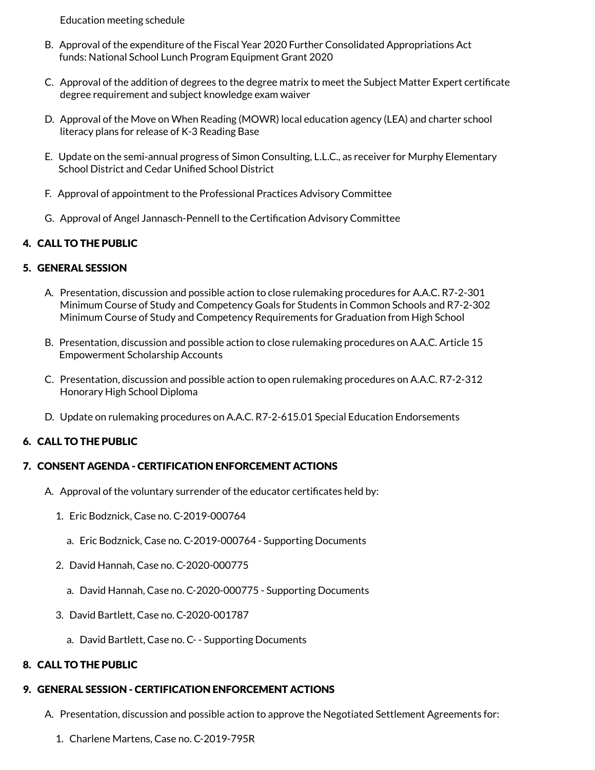Education meeting schedule

- B. Approval of the expenditure of the Fiscal Year 2020 Further Consolidated Appropriations Act funds: National School Lunch Program Equipment Grant 2020
- C. Approval of the addition of degrees to the degree matrix to meet the Subject Matter Expert certificate degree requirement and subject knowledge exam waiver
- D. Approval of the Move on When Reading (MOWR) local education agency (LEA) and charter school literacy plans for release of K-3 Reading Base
- E. Update on the semi-annual progress of Simon Consulting, L.L.C., as receiver for Murphy Elementary School District and Cedar Unified School District
- F. Approval of appointment to the Professional Practices Advisory Committee
- G. Approval of Angel Jannasch-Pennell to the Certification Advisory Committee

## 4. CALL TO THE PUBLIC

## 5. GENERAL SESSION

- A. Presentation, discussion and possible action to close rulemaking procedures for A.A.C. R7-2-301 Minimum Course of Study and Competency Goals for Students in Common Schools and R7-2-302 Minimum Course of Study and Competency Requirements for Graduation from High School
- B. Presentation, discussion and possible action to close rulemaking procedures on A.A.C. Article 15 Empowerment Scholarship Accounts
- C. Presentation, discussion and possible action to open rulemaking procedures on A.A.C. R7-2-312 Honorary High School Diploma
- D. Update on rulemaking procedures on A.A.C. R7-2-615.01 Special Education Endorsements

## 6. CALL TO THE PUBLIC

#### 7. CONSENT AGENDA - CERTIFICATION ENFORCEMENT ACTIONS

- A. Approval of the voluntary surrender of the educator certificates held by:
	- 1. Eric Bodznick, Case no. C-2019-000764
		- a. Eric Bodznick, Case no. C-2019-000764 Supporting Documents
	- 2. David Hannah, Case no. C-2020-000775
		- a. David Hannah, Case no. C-2020-000775 Supporting Documents
	- 3. David Bartlett, Case no. C-2020-001787
		- a. David Bartlett, Case no. C- Supporting Documents

#### 8. CALL TO THE PUBLIC

## 9. GENERAL SESSION - CERTIFICATION ENFORCEMENT ACTIONS

- A. Presentation, discussion and possible action to approve the Negotiated Settlement Agreements for:
	- 1. Charlene Martens, Case no. C-2019-795R